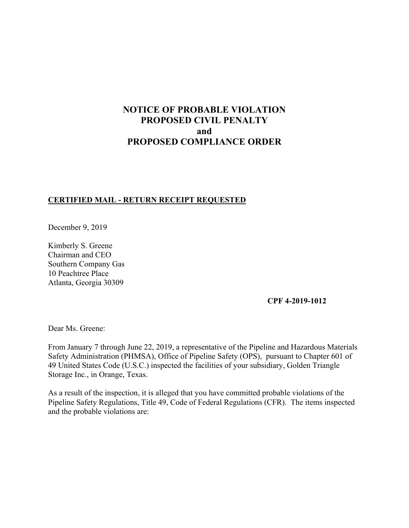# **NOTICE OF PROBABLE VIOLATION PROPOSED CIVIL PENALTY and PROPOSED COMPLIANCE ORDER**

## **CERTIFIED MAIL - RETURN RECEIPT REQUESTED**

December 9, 2019

Kimberly S. Greene Chairman and CEO Southern Company Gas 10 Peachtree Place Atlanta, Georgia 30309

### **CPF 4-2019-1012**

Dear Ms. Greene:

From January 7 through June 22, 2019, a representative of the Pipeline and Hazardous Materials Safety Administration (PHMSA), Office of Pipeline Safety (OPS), pursuant to Chapter 601 of 49 United States Code (U.S.C.) inspected the facilities of your subsidiary, Golden Triangle Storage Inc., in Orange, Texas.

As a result of the inspection, it is alleged that you have committed probable violations of the Pipeline Safety Regulations, Title 49, Code of Federal Regulations (CFR). The items inspected and the probable violations are: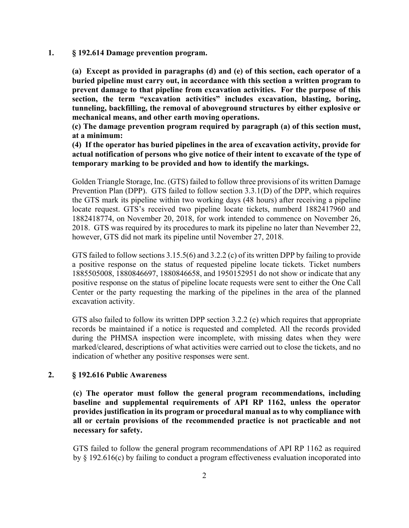## **1. § 192.614 Damage prevention program.**

**(a) Except as provided in paragraphs (d) and (e) of this section, each operator of a buried pipeline must carry out, in accordance with this section a written program to prevent damage to that pipeline from excavation activities. For the purpose of this section, the term "excavation activities" includes excavation, blasting, boring, tunneling, backfilling, the removal of aboveground structures by either explosive or mechanical means, and other earth moving operations.** 

**(c) The damage prevention program required by paragraph (a) of this section must, at a minimum:** 

**(4) If the operator has buried pipelines in the area of excavation activity, provide for actual notification of persons who give notice of their intent to excavate of the type of temporary marking to be provided and how to identify the markings.** 

Golden Triangle Storage, Inc. (GTS) failed to follow three provisions of its written Damage Prevention Plan (DPP). GTS failed to follow section 3.3.1(D) of the DPP, which requires the GTS mark its pipeline within two working days (48 hours) after receiving a pipeline locate request. GTS's received two pipeline locate tickets, numberd 1882417960 and 1882418774, on November 20, 2018, for work intended to commence on November 26, 2018. GTS was required by its procedures to mark its pipeline no later than Nevember 22, however, GTS did not mark its pipeline until November 27, 2018.

GTS failed to follow sections 3.15.5(6) and 3.2.2 (c) of its written DPP by failing to provide a positive response on the status of requested pipeline locate tickets. Ticket numbers 1885505008, 1880846697, 1880846658, and 1950152951 do not show or indicate that any positive response on the status of pipeline locate requests were sent to either the One Call Center or the party requesting the marking of the pipelines in the area of the planned excavation activity.

GTS also failed to follow its written DPP section 3.2.2 (e) which requires that appropriate records be maintained if a notice is requested and completed. All the records provided during the PHMSA inspection were incomplete, with missing dates when they were marked/cleared, descriptions of what activities were carried out to close the tickets, and no indication of whether any positive responses were sent.

### **2. § 192.616 Public Awareness**

**(c) The operator must follow the general program recommendations, including baseline and supplemental requirements of API RP 1162, unless the operator provides justification in its program or procedural manual as to why compliance with all or certain provisions of the recommended practice is not practicable and not necessary for safety.** 

GTS failed to follow the general program recommendations of API RP 1162 as required by § 192.616(c) by failing to conduct a program effectiveness evaluation incoporated into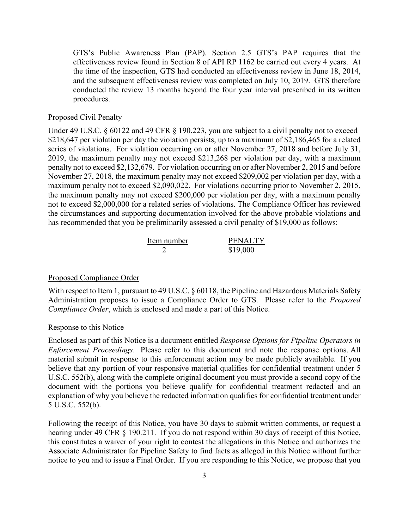GTS's Public Awareness Plan (PAP). Section 2.5 GTS's PAP requires that the effectiveness review found in Section 8 of API RP 1162 be carried out every 4 years. At the time of the inspection, GTS had conducted an effectiveness review in June 18, 2014, and the subsequent effectiveness review was completed on July 10, 2019. GTS therefore conducted the review 13 months beyond the four year interval prescribed in its written procedures.

#### Proposed Civil Penalty

Under 49 U.S.C. § 60122 and 49 CFR § 190.223, you are subject to a civil penalty not to exceed \$218,647 per violation per day the violation persists, up to a maximum of \$2,186,465 for a related series of violations. For violation occurring on or after November 27, 2018 and before July 31, 2019, the maximum penalty may not exceed \$213,268 per violation per day, with a maximum penalty not to exceed \$2,132,679. For violation occurring on or after November 2, 2015 and before November 27, 2018, the maximum penalty may not exceed \$209,002 per violation per day, with a maximum penalty not to exceed \$2,090,022. For violations occurring prior to November 2, 2015, the maximum penalty may not exceed \$200,000 per violation per day, with a maximum penalty not to exceed \$2,000,000 for a related series of violations. The Compliance Officer has reviewed the circumstances and supporting documentation involved for the above probable violations and has recommended that you be preliminarily assessed a civil penalty of \$19,000 as follows:

| Item number | <b>PENALTY</b> |
|-------------|----------------|
|             | \$19,000       |

#### Proposed Compliance Order

With respect to Item 1, pursuant to 49 U.S.C. § 60118, the Pipeline and Hazardous Materials Safety Administration proposes to issue a Compliance Order to GTS. Please refer to the *Proposed Compliance Order*, which is enclosed and made a part of this Notice.

#### Response to this Notice

Enclosed as part of this Notice is a document entitled *Response Options for Pipeline Operators in Enforcement Proceedings*. Please refer to this document and note the response options. All material submit in response to this enforcement action may be made publicly available. If you believe that any portion of your responsive material qualifies for confidential treatment under 5 U.S.C. 552(b), along with the complete original document you must provide a second copy of the document with the portions you believe qualify for confidential treatment redacted and an explanation of why you believe the redacted information qualifies for confidential treatment under 5 U.S.C. 552(b).

Following the receipt of this Notice, you have 30 days to submit written comments, or request a hearing under 49 CFR § 190.211. If you do not respond within 30 days of receipt of this Notice, this constitutes a waiver of your right to contest the allegations in this Notice and authorizes the Associate Administrator for Pipeline Safety to find facts as alleged in this Notice without further notice to you and to issue a Final Order. If you are responding to this Notice, we propose that you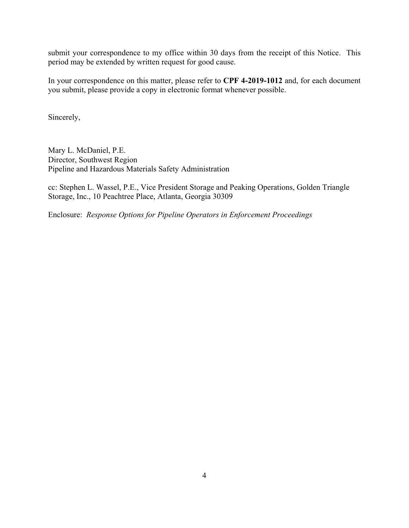submit your correspondence to my office within 30 days from the receipt of this Notice. This period may be extended by written request for good cause.

In your correspondence on this matter, please refer to **CPF 4-2019-1012** and, for each document you submit, please provide a copy in electronic format whenever possible.

Sincerely,

Mary L. McDaniel, P.E. Director, Southwest Region Pipeline and Hazardous Materials Safety Administration

cc: Stephen L. Wassel, P.E., Vice President Storage and Peaking Operations, Golden Triangle Storage, Inc., 10 Peachtree Place, Atlanta, Georgia 30309

 Enclosure: *Response Options for Pipeline Operators in Enforcement Proceedings*